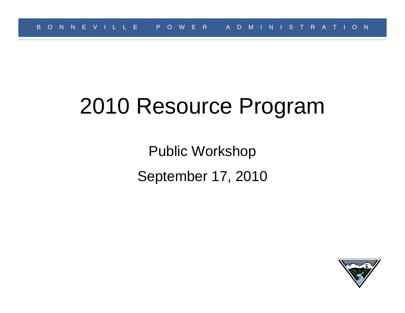# 2010 Resource Program

Public Workshop September 17, 2010

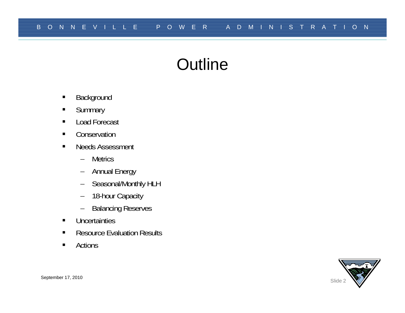### **Outline**

- $\blacksquare$ Background
- $\blacksquare$ **Summary**
- $\blacksquare$ Load Forecast
- $\blacksquare$ **Conservation**
- $\blacksquare$  Needs Assessment
	- –**Metrics**
	- Annual Energy
	- –Seasonal/Monthly HLH
	- –18-hour Capacity
	- –Balancing Reserves
- $\blacksquare$ Uncertainties
- $\blacksquare$ Resource Evaluation Results
- $\blacksquare$ Actions



September 17, 2010 Slide 2 Slide 2 Slide 2 Slide 2 Slide 2 Slide 2 Slide 2 Slide 2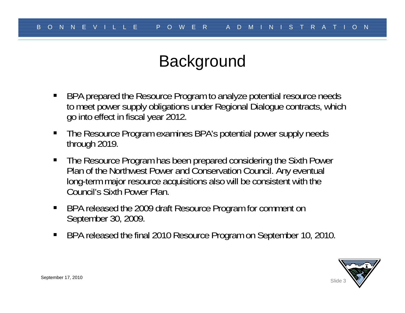# **Background**

- П BPA prepared the Resource Program to analyze potential resource needs to meet power supply obligations under Regional Dialogue contracts, which go into effect in fiscal year 2012.
- П The Resource Program examines BPA's potential power supply needs through 2019.
- $\blacksquare$  The Resource Program has been prepared considering the Sixth Power Plan of the Northwest Power and Conservation Council. Any eventual long-term major resource acquisitions also will be consistent with the Council's Sixth Power Plan.
- $\blacksquare$  BPA released the 2009 draft Resource Program for comment on September 30, 2009.
- $\blacksquare$ BPA released the final 2010 Resource Program on September 10, 2010.

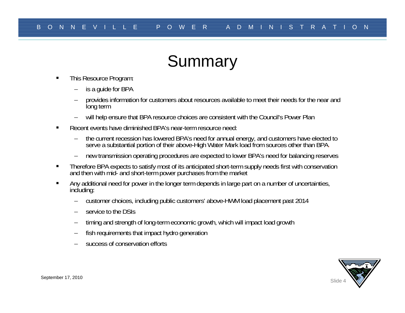### **Summary**

- $\blacksquare$  This Resource Program:
	- is a guide for BPA
	- provides information for customers about resources available to meet their needs for the near and long term
	- will help ensure that BPA resource choices are consistent with the Council's Power Plan
- $\blacksquare$  Recent events have diminished BPA's near-term resource need:
	- the current recession has lowered BPA's need for annual energy, and customers have elected to serve a substantial portion of their above-High Water Mark load from sources other than BPA.
	- new transmission operating procedures are expected to lower BPA's need for balancing reserves
- $\blacksquare$ Therefore BPA expects to satisfy most of its anticipated short-term supply needs first with conservation and then with mid- and short-term power purchases from the market
- $\blacksquare$  Any additional need for power in the longer term depends in large part on a number of uncertainties, including:
	- customer choices, including public customers' above-HWM load placement past 2014
	- service to the DSIs
	- timing and strength of long-term economic growth, which will impact load growth
	- fish requirements that impact hydro generation
	- success of conservation efforts

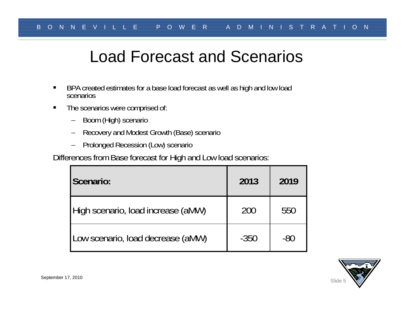#### Load Forecast and Scenarios

- $\blacksquare$ BPA created estimates for a base load forecast as well as high and low load scenarios
- $\blacksquare$  The scenarios were comprised of:
	- $\equiv$ Boom (High) scenario
	- Recovery and Modest Growth (Base) scenario
	- Prolonged Recession (Low) scenario

Differences from Base forecast for High and Low load scenarios:

| Scenario:                          | 2013   | 2019 |
|------------------------------------|--------|------|
| High scenario, load increase (aMW) | 200    | 550  |
| Low scenario, load decrease (aMW)  | $-350$ | -80  |

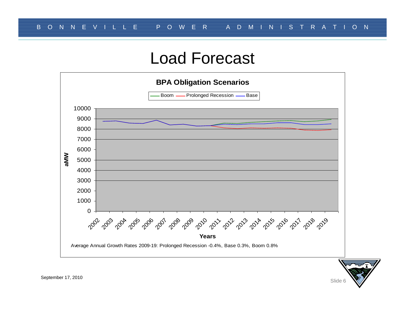#### Load Forecast





September 17, 2010 Slide 6 Slide 6 Slide 6 Slide 6 Slide 6 Slide 6 Slide 6 Slide 6 Slide 6 Slide 6 Slide 6 Slide 6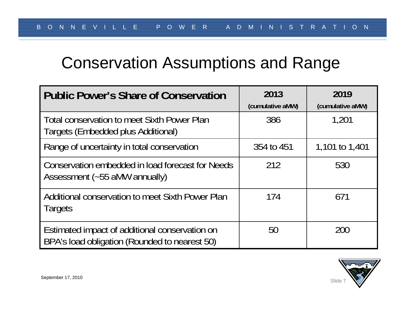### Conservation Assumptions and Range

| <b>Public Power's Share of Conservation</b>                                                     | 2013<br>(cumulative aMW) | 2019<br>(cumulative aMW) |
|-------------------------------------------------------------------------------------------------|--------------------------|--------------------------|
| l Total conservation to meet Sixth Power Plan<br>Targets (Embedded plus Additional)             | 386                      | 1,201                    |
| Range of uncertainty in total conservation                                                      | 354 to 451               | 1,101 to 1,401           |
| Conservation embedded in load forecast for Needs<br>Assessment (~55 aMW annually)               | 212                      | 530                      |
| Additional conservation to meet Sixth Power Plan<br>Targets                                     | 174                      | 671                      |
| Estimated impact of additional conservation on<br>BPA's load obligation (Rounded to nearest 50) | 50                       | 200                      |

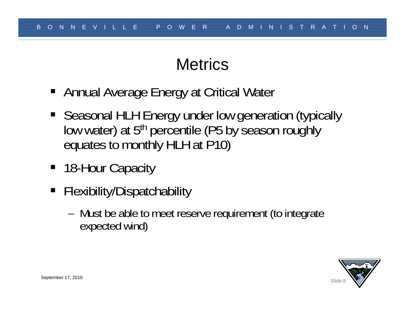# **Metrics**

- Annual Average Energy at Critical Water
- **Seasonal HLH Energy under low generation (typically** low water) at 5<sup>th</sup> percentile (P5 by season roughly equates to monthly HLH at P10)
- 18-Hour Capacity
- Flexibility/Dispatchability
	- Must be able to meet reserve requirement (to integrate expected wind)

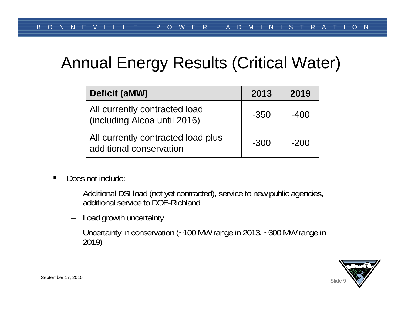### Annual Energy Results (Critical Water)

| <b>Deficit (aMW)</b>                                          | 2013   | 2019   |
|---------------------------------------------------------------|--------|--------|
| All currently contracted load<br>(including Alcoa until 2016) | $-350$ | $-400$ |
| All currently contracted load plus<br>additional conservation | $-300$ | $-200$ |

- $\blacksquare$  Does not include:
	- Additional DSI load (not yet contracted), service to new public agencies, additional service to DOE-Richland
	- –Load growth uncertainty
	- Uncertainty in conservation (~100 MW range in 2013, ~300 MW range in 2019)

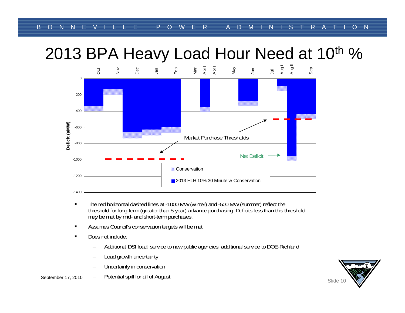### 2013 BPA Heavy Load Hour Need at 10<sup>th %</sup>



- $\blacksquare$  The red horizontal dashed lines at -1000 MW (winter) and -500 MW (summer) reflect the threshold for long-term (greater than 5-year) advance purchasing. Deficits less than this threshold may be met by mid- and short-term purchases.
- n Assumes Council's conservation targets will be met
- $\blacksquare$  Does not include:
	- Additional DSI load, service to new public agencies, additional service to DOE-Richland
	- Load growth uncertainty
	- Uncertainty in conservation
- September 17, 2010 Potential spill for all of August state in the september 17, 2010 Slide 10

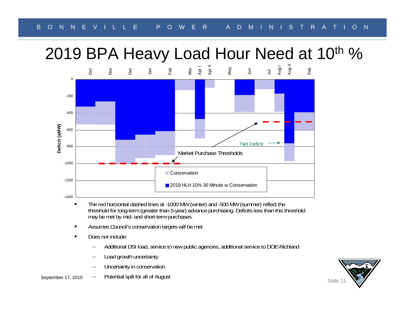### 2019 BPA Heavy Load Hour Need at 10<sup>th %</sup>



- $\blacksquare$  The red horizontal dashed lines at -1000 MW (winter) and -500 MW (summer) reflect the threshold for long-term (greater than 5-year) advance purchasing. Deficits less than this threshold may be met by mid- and short-term purchases.
- n Assumes Council's conservation targets will be met
- $\blacksquare$  Does not include:
	- Additional DSI load, service to new public agencies, additional service to DOE-Richland
	- Load growth uncertainty
	- Uncertainty in conservation
- September 17, 2010 Potential spill for all of August Slide 11

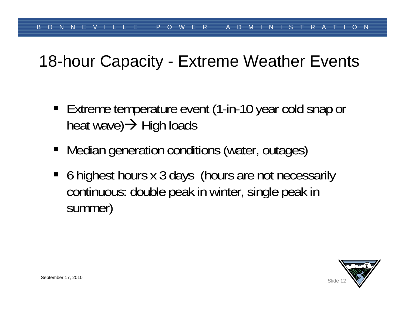### 18-hour Capacity - Extreme Weather Events

- **Extreme temperature event (1-in-10 year cold snap or** heat wave)  $\rightarrow$  High loads
- Median generation conditions (water, outages)
- 6 highest hours x 3 days (hours are not necessarily continuous: double peak in winter, single peak in summer)

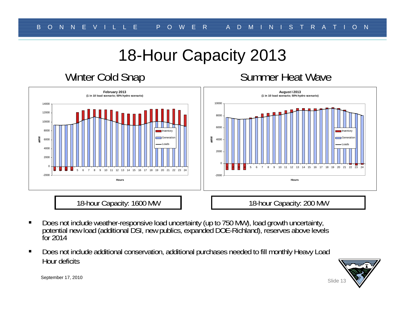### 18-Hour Capacity 2013

#### Winter Cold Snap

#### Summer Heat Wave



- $\blacksquare$ Does not include weather-responsive load uncertainty (up to 750 MW), load growth uncertainty, potential new load (additional DSI, new publics, expanded DOE-Richland), reserves above levels for 2014
- $\blacksquare$  Does not include additional conservation, additional purchases needed to fill monthly Heavy Load Hour deficits



September 17, 2010 Slide 13 Slide 13 Slide 13 Slide 13 Slide 13 Slide 13 Slide 13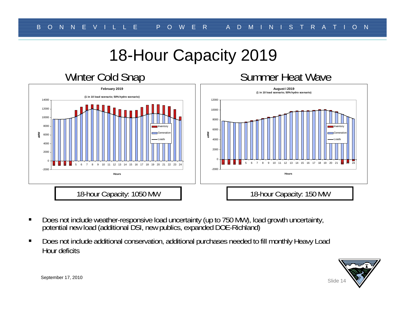### 18-Hour Capacity 2019



- $\blacksquare$ Does not include weather-responsive load uncertainty (up to 750 MW), load growth uncertainty, potential new load (additional DSI, new publics, expanded DOE-Richland)
- $\blacksquare$  Does not include additional conservation, additional purchases needed to fill monthly Heavy Load Hour deficits



September 17, 2010 Slide 14 and Slide 14 and Slide 14 and Slide 14 and Slide 14 and Slide 14 and Slide 14 and Slide 14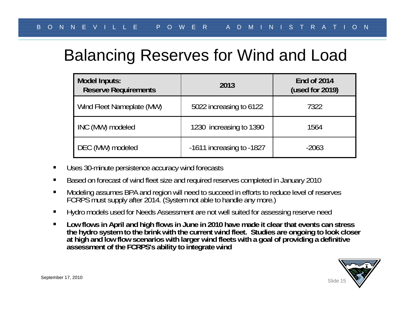### Balancing Reserves for Wind and Load

| <b>Model Inputs:</b><br><b>Reserve Requirements</b> | 2013                      | <b>End of 2014</b><br>(used for 2019) |  |
|-----------------------------------------------------|---------------------------|---------------------------------------|--|
| Wind Fleet Nameplate (MW)                           | 5022 increasing to 6122   | 7322                                  |  |
| INC (MW) modeled                                    | 1230 increasing to 1390   | 1564                                  |  |
| DEC (MW) modeled                                    | -1611 increasing to -1827 | $-2063$                               |  |

- Ш Uses 30-minute persistence accuracy wind forecasts
- Based on forecast of wind fleet size and required reserves completed in January 2010
- П Modeling assumes BPA and region will need to succeed in efforts to reduce level of reserves FCRPS must supply after 2014. (System not able to handle any more.)
- $\blacksquare$ Hydro models used for Needs Assessment are not well suited for assessing reserve need
- Low flows in April and high flows in June in 2010 have made it clear that events can stress the hydro system to the brink with the current wind fleet. Studies are ongoing to look closer at high and low flow scenarios with

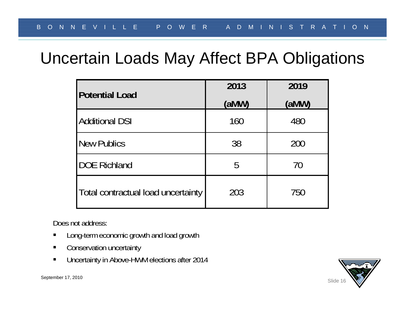### Uncertain Loads May Affect BPA Obligations

| <b>Potential Load</b>              | 2013  | 2019  |  |
|------------------------------------|-------|-------|--|
|                                    | (aMW) | (3MW) |  |
| <b>Additional DSI</b>              | 160   | 480   |  |
| <b>New Publics</b>                 | 38    | 200   |  |
| <b>DOE Richland</b>                | 5     | 70    |  |
| Total contractual load uncertainty | 203   | 750   |  |

Does not address:

- $\blacksquare$ Long-term economic growth and load growth
- $\blacksquare$ Conservation uncertainty
- $\blacksquare$ Uncertainty in Above-HWM elections after 2014

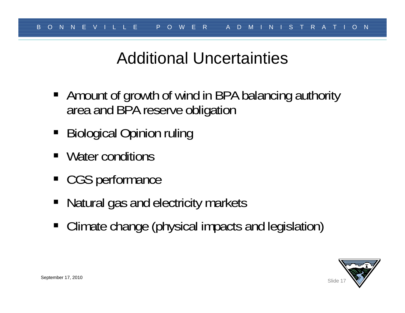### Additional Uncertainties

- Amount of growth of wind in BPA balancing authority area and BPA reserve obligation
- $\blacksquare$ Biological Opinion ruling
- Water conditions
- CGS performance
- Ξ Natural gas and electricity markets
- $\blacksquare$ Climate change (physical impacts and legislation)

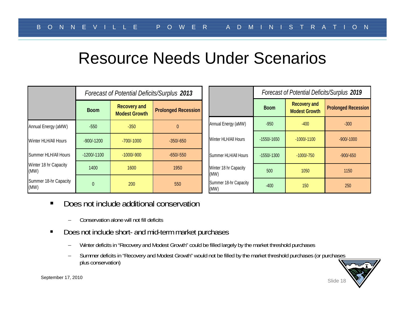#### Resource Needs Under Scenarios

|                               | <b>Forecast of Potential Deficits/Surplus 2013</b> |                                             |                            | <b>Forecast of Potential Deficits/Surplus 2019</b> |               |                                             |                            |
|-------------------------------|----------------------------------------------------|---------------------------------------------|----------------------------|----------------------------------------------------|---------------|---------------------------------------------|----------------------------|
|                               | <b>Boom</b>                                        | <b>Recovery and</b><br><b>Modest Growth</b> | <b>Prolonged Recession</b> |                                                    | <b>Boom</b>   | <b>Recovery and</b><br><b>Modest Growth</b> | <b>Prolonged Recession</b> |
| Annual Energy (aMW)           | $-550$                                             | $-350$                                      | $\mathbf{0}$               | Annual Energy (aMW)                                | $-950$        | $-400$                                      | $-300$                     |
| Winter HLH/All Hours          | $-900/-1200$                                       | $-700/-1000$                                | $-350/-650$                | Winter HLH/All Hours                               | $-1550/-1650$ | $-1000/-1100$                               | $-900/-1000$               |
| Summer HLH/All Hours          | $-1200/-1100$                                      | $-1000/-900$                                | $-650/-550$                | Summer HLH/All Hours                               | $-1550/-1300$ | $-1000/-750$                                | $-900/-650$                |
| Winter 18 hr Capacity<br>(MW) | 1400                                               | 1600                                        | 1950                       | Winter 18 hr Capacity<br>(MW)                      | 500           | 1050                                        | 1150                       |
| Summer 18-hr Capacity<br>(MW) |                                                    | 200                                         | 550                        | Summer 18-hr Capacity<br>(MW)                      | $-400$        | 150                                         | 250                        |

- $\blacksquare$  Does not include additional conservation
	- Conservation alone will not fill deficits
- $\blacksquare$  Does not include short- and mid-term market purchases
	- –Winter deficits in "Recovery and Modest Growth" could be filled largely by the market threshold purchases
	- – Summer deficits in "Recovery and Modest Growth" would not be filled by the market threshold purchases (or purchases plus conservation)

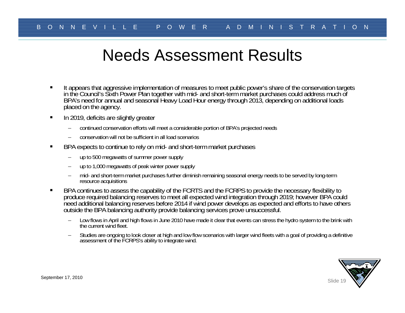### Needs Assessment Results

- $\blacksquare$ It appears that aggressive implementation of measures to meet public power's share of the conservation targets<br>in the Council's Sixth Power Plan together with mid- and short-term market purchases could address much of<br>BPA'
- $\blacksquare$  In 2019, deficits are slightly greater
	- continued conservation efforts will meet a considerable portion of BPA's projected needs
	- conservation will not be sufficient in all load scenarios
- $\blacksquare$  BPA expects to continue to rely on mid- and short-term market purchases
	- up to 500 megawatts of summer power supply
	- up to 1,000 megawatts of peak winter power supply
	- mid- and short-term market purchases further diminish remaining seasonal energy needs to be served by long-term resource acquisitions
- $\blacksquare$ BPA continues to assess the capability of the FCRTS and the FCRPS to provide the necessary flexibility to<br>produce required balancing reserves to meet all expected wind integration through 2019; however BPA could<br>need addit
	- Low flows in April and high flows in June 2010 have made it clear that events can stress the hydro system to the brink with the current wind fleet.
	- Studies are ongoing to look closer at high and low flow scenarios with larger wind fleets with a goal of providing a definitive assessment of the FCRPS's ability to integrate wind.

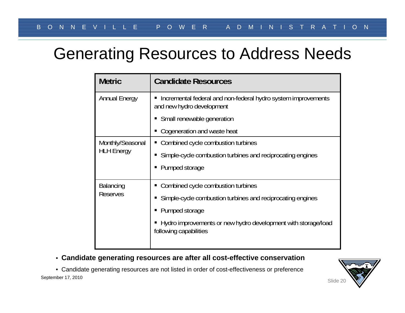#### Generating Resources to Address Needs

| <b>Candidate Resources</b>                                                                 |  |  |
|--------------------------------------------------------------------------------------------|--|--|
| Incremental federal and non-federal hydro system improvements<br>and new hydro development |  |  |
| • Small renewable generation                                                               |  |  |
| Cogeneration and waste heat                                                                |  |  |
| • Combined cycle combustion turbines                                                       |  |  |
| Simple-cycle combustion turbines and reciprocating engines                                 |  |  |
| Pumped storage                                                                             |  |  |
| Combined cycle combustion turbines                                                         |  |  |
| Simple-cycle combustion turbines and reciprocating engines                                 |  |  |
| Pumped storage                                                                             |  |  |
| Hydro improvements or new hydro development with storage/load<br>following capabilities    |  |  |
|                                                                                            |  |  |

#### • **Candidate generating resources are after all cost-effective conservation**

• Candidate generating resources are not listed in order of cost-effectiveness or preference

September 17, 2010 Slide 20 Slide 20 Slide 20 Slide 20 Slide 20 Slide 20 Slide 20 Slide 20 Slide 20 Slide 20 Slide 20